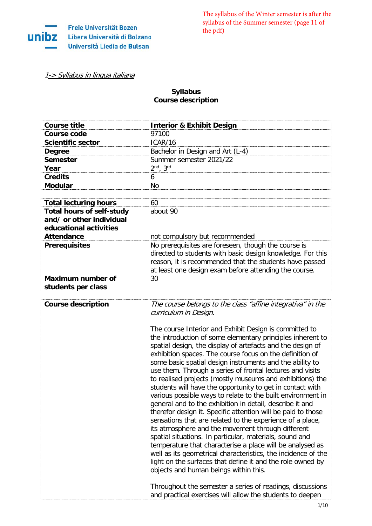

[1-> Syllabus in lingua italiana](#page-5-0)

## **Syllabus Course description**

| Course title             | <b>Interior &amp; Exhibit Design</b> |
|--------------------------|--------------------------------------|
| Course code              | 97100                                |
| <b>Scientific sector</b> | ICAR/16                              |
| <b>Dearee</b>            | Bachelor in Design and Art (L-4)     |
| Semester                 | Summer semester 2021/22              |
| Year                     | ond arc                              |
| <b>Credits</b>           |                                      |
| Modular                  |                                      |

| <b>Total lecturing hours</b>                                                           | 60                                                                                                                                                                                                                                    |
|----------------------------------------------------------------------------------------|---------------------------------------------------------------------------------------------------------------------------------------------------------------------------------------------------------------------------------------|
| <b>Total hours of self-study</b><br>and/ or other individual<br>educational activities | about 90                                                                                                                                                                                                                              |
| <b>Attendance</b>                                                                      | not compulsory but recommended                                                                                                                                                                                                        |
| <b>Prerequisites</b>                                                                   | No prerequisites are foreseen, though the course is<br>directed to students with basic design knowledge. For this<br>reason, it is recommended that the students have passed<br>at least one design exam before attending the course. |
| Maximum number of<br>students per class                                                | 30                                                                                                                                                                                                                                    |

| <b>Course description</b> | The course belongs to the class "affine integrativa" in the<br>curriculum in Design.                                                                                                                                                                                                                                                                                                                                                                                                                                                                                                                                                                                                                                                                                                                                                                                                                                                                                                                                                                                                                           |
|---------------------------|----------------------------------------------------------------------------------------------------------------------------------------------------------------------------------------------------------------------------------------------------------------------------------------------------------------------------------------------------------------------------------------------------------------------------------------------------------------------------------------------------------------------------------------------------------------------------------------------------------------------------------------------------------------------------------------------------------------------------------------------------------------------------------------------------------------------------------------------------------------------------------------------------------------------------------------------------------------------------------------------------------------------------------------------------------------------------------------------------------------|
|                           | The course Interior and Exhibit Design is committed to<br>the introduction of some elementary principles inherent to<br>spatial design, the display of artefacts and the design of<br>exhibition spaces. The course focus on the definition of<br>some basic spatial design instruments and the ability to<br>use them. Through a series of frontal lectures and visits<br>to realised projects (mostly museums and exhibitions) the<br>students will have the opportunity to get in contact with<br>various possible ways to relate to the built environment in<br>general and to the exhibition in detail, describe it and<br>therefor design it. Specific attention will be paid to those<br>sensations that are related to the experience of a place,<br>its atmosphere and the movement through different<br>spatial situations. In particular, materials, sound and<br>temperature that characterise a place will be analysed as<br>well as its geometrical characteristics, the incidence of the<br>light on the surfaces that define it and the role owned by<br>objects and human beings within this. |
|                           | Throughout the semester a series of readings, discussions<br>and practical exercises will allow the students to deepen                                                                                                                                                                                                                                                                                                                                                                                                                                                                                                                                                                                                                                                                                                                                                                                                                                                                                                                                                                                         |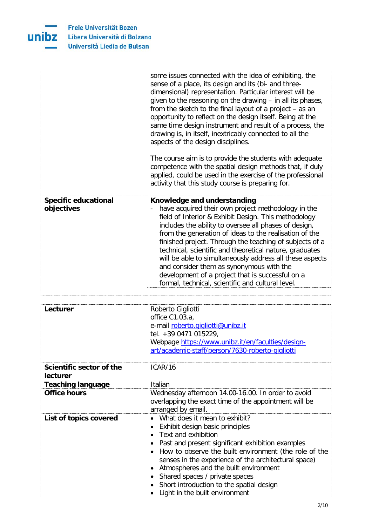

|                                           | some issues connected with the idea of exhibiting, the<br>sense of a place, its design and its (bi- and three-<br>dimensional) representation. Particular interest will be<br>given to the reasoning on the drawing - in all its phases,<br>from the sketch to the final layout of a project - as an<br>opportunity to reflect on the design itself. Being at the<br>same time design instrument and result of a process, the<br>drawing is, in itself, inextricably connected to all the<br>aspects of the design disciplines.<br>The course aim is to provide the students with adequate<br>competence with the spatial design methods that, if duly<br>applied, could be used in the exercise of the professional<br>activity that this study course is preparing for. |
|-------------------------------------------|---------------------------------------------------------------------------------------------------------------------------------------------------------------------------------------------------------------------------------------------------------------------------------------------------------------------------------------------------------------------------------------------------------------------------------------------------------------------------------------------------------------------------------------------------------------------------------------------------------------------------------------------------------------------------------------------------------------------------------------------------------------------------|
| <b>Specific educational</b><br>objectives | Knowledge and understanding<br>have acquired their own project methodology in the<br>field of Interior & Exhibit Design. This methodology<br>includes the ability to oversee all phases of design,<br>from the generation of ideas to the realisation of the<br>finished project. Through the teaching of subjects of a<br>technical, scientific and theoretical nature, graduates<br>will be able to simultaneously address all these aspects<br>and consider them as synonymous with the<br>development of a project that is successful on a<br>formal, technical, scientific and cultural level.                                                                                                                                                                       |

| Lecturer                             | Roberto Gigliotti<br>office C1.03.a,<br>e-mail roberto.gigliotti@unibz.it<br>tel. +39 0471 015229,<br>Webpage https://www.unibz.it/en/faculties/design-<br>art/academic-staff/person/7630-roberto-gigliotti                                                                                                                                                                                                             |
|--------------------------------------|-------------------------------------------------------------------------------------------------------------------------------------------------------------------------------------------------------------------------------------------------------------------------------------------------------------------------------------------------------------------------------------------------------------------------|
| Scientific sector of the<br>lecturer | ICAR/16                                                                                                                                                                                                                                                                                                                                                                                                                 |
| <b>Teaching language</b>             | Italian                                                                                                                                                                                                                                                                                                                                                                                                                 |
| <b>Office hours</b>                  | Wednesday afternoon 14.00-16.00. In order to avoid<br>overlapping the exact time of the appointment will be<br>arranged by email.                                                                                                                                                                                                                                                                                       |
| List of topics covered               | • What does it mean to exhibit?<br>Exhibit design basic principles<br>Text and exhibition<br>Past and present significant exhibition examples<br>How to observe the built environment (the role of the<br>senses in the experience of the architectural space)<br>Atmospheres and the built environment<br>Shared spaces / private spaces<br>Short introduction to the spatial design<br>Light in the built environment |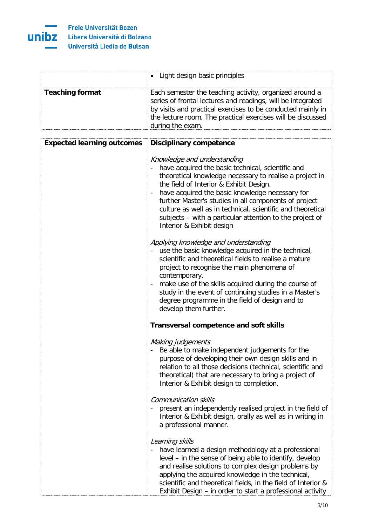

|                        | • Light design basic principles                                                                                                                                                                                                                                          |
|------------------------|--------------------------------------------------------------------------------------------------------------------------------------------------------------------------------------------------------------------------------------------------------------------------|
| <b>Teaching format</b> | Each semester the teaching activity, organized around a<br>series of frontal lectures and readings, will be integrated<br>by visits and practical exercises to be conducted mainly in<br>the lecture room. The practical exercises will be discussed<br>during the exam. |

| <b>Expected learning outcomes</b> | <b>Disciplinary competence</b>                                                                                                                                                                                                                                                                                                                                                                                                                                                             |
|-----------------------------------|--------------------------------------------------------------------------------------------------------------------------------------------------------------------------------------------------------------------------------------------------------------------------------------------------------------------------------------------------------------------------------------------------------------------------------------------------------------------------------------------|
|                                   | Knowledge and understanding<br>have acquired the basic technical, scientific and<br>theoretical knowledge necessary to realise a project in<br>the field of Interior & Exhibit Design.<br>have acquired the basic knowledge necessary for<br>$\qquad \qquad \blacksquare$<br>further Master's studies in all components of project<br>culture as well as in technical, scientific and theoretical<br>subjects – with a particular attention to the project of<br>Interior & Exhibit design |
|                                   | Applying knowledge and understanding<br>use the basic knowledge acquired in the technical,<br>scientific and theoretical fields to realise a mature<br>project to recognise the main phenomena of<br>contemporary.<br>make use of the skills acquired during the course of<br>study in the event of continuing studies in a Master's<br>degree programme in the field of design and to<br>develop them further.                                                                            |
|                                   | <b>Transversal competence and soft skills</b>                                                                                                                                                                                                                                                                                                                                                                                                                                              |
|                                   | Making judgements<br>Be able to make independent judgements for the<br>purpose of developing their own design skills and in<br>relation to all those decisions (technical, scientific and<br>theoretical) that are necessary to bring a project of<br>Interior & Exhibit design to completion.                                                                                                                                                                                             |
|                                   | <b>Communication skills</b><br>present an independently realised project in the field of<br>Interior & Exhibit design, orally as well as in writing in<br>a professional manner.                                                                                                                                                                                                                                                                                                           |
|                                   | Learning skills<br>have learned a design methodology at a professional<br>level - in the sense of being able to identify, develop<br>and realise solutions to complex design problems by<br>applying the acquired knowledge in the technical,<br>scientific and theoretical fields, in the field of Interior &<br>Exhibit Design - in order to start a professional activity                                                                                                               |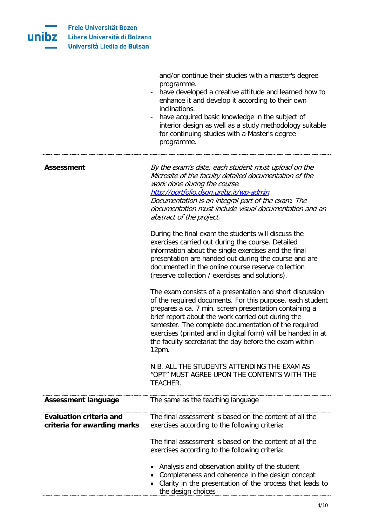

|                                                               | and/or continue their studies with a master's degree<br>programme.<br>have developed a creative attitude and learned how to<br>enhance it and develop it according to their own<br>inclinations.<br>have acquired basic knowledge in the subject of<br>interior design as well as a study methodology suitable<br>for continuing studies with a Master's degree<br>programme.                                                                                                                                                                                                                                                                                                                                                                                                                                                                                 |
|---------------------------------------------------------------|---------------------------------------------------------------------------------------------------------------------------------------------------------------------------------------------------------------------------------------------------------------------------------------------------------------------------------------------------------------------------------------------------------------------------------------------------------------------------------------------------------------------------------------------------------------------------------------------------------------------------------------------------------------------------------------------------------------------------------------------------------------------------------------------------------------------------------------------------------------|
|                                                               |                                                                                                                                                                                                                                                                                                                                                                                                                                                                                                                                                                                                                                                                                                                                                                                                                                                               |
| <b>Assessment</b>                                             | By the exam's date, each student must upload on the<br>Microsite of the faculty detailed documentation of the<br>work done during the course.<br>http://portfolio.dsgn.unibz.it/wp-admin<br>Documentation is an integral part of the exam. The<br>documentation must include visual documentation and an<br>abstract of the project.<br>During the final exam the students will discuss the<br>exercises carried out during the course. Detailed<br>information about the single exercises and the final<br>presentation are handed out during the course and are<br>documented in the online course reserve collection<br>(reserve collection / exercises and solutions).<br>The exam consists of a presentation and short discussion<br>of the required documents. For this purpose, each student<br>prepares a ca. 7 min. screen presentation containing a |
|                                                               | brief report about the work carried out during the<br>semester. The complete documentation of the required<br>exercises (printed and in digital form) will be handed in at<br>the faculty secretariat the day before the exam within<br>12pm.<br>N.B. ALL THE STUDENTS ATTENDING THE EXAM AS<br>"OPT" MUST AGREE UPON THE CONTENTS WITH THE<br>TEACHER.                                                                                                                                                                                                                                                                                                                                                                                                                                                                                                       |
| <b>Assessment language</b>                                    | The same as the teaching language                                                                                                                                                                                                                                                                                                                                                                                                                                                                                                                                                                                                                                                                                                                                                                                                                             |
| <b>Evaluation criteria and</b><br>criteria for awarding marks | The final assessment is based on the content of all the<br>exercises according to the following criteria:<br>The final assessment is based on the content of all the                                                                                                                                                                                                                                                                                                                                                                                                                                                                                                                                                                                                                                                                                          |
|                                                               | exercises according to the following criteria:<br>Analysis and observation ability of the student<br>Completeness and coherence in the design concept<br>Clarity in the presentation of the process that leads to<br>the design choices                                                                                                                                                                                                                                                                                                                                                                                                                                                                                                                                                                                                                       |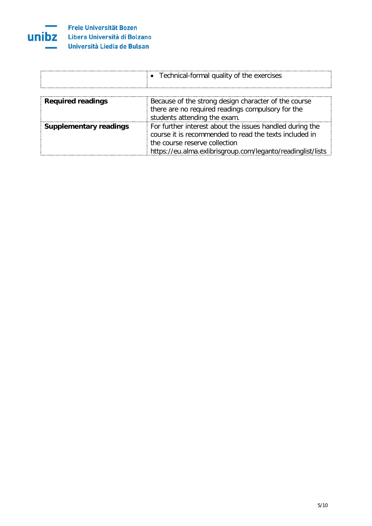

|                               | • Technical-formal quality of the exercises                                                                                               |
|-------------------------------|-------------------------------------------------------------------------------------------------------------------------------------------|
| <b>Required readings</b>      | Because of the strong design character of the course<br>there are no required readings compulsory for the<br>students attending the exam. |
| <b>Supplementary readings</b> | For further interest about the issues handled during the                                                                                  |

| course it is recommended to read the texts included in      |
|-------------------------------------------------------------|
| $^\circ$ the course reserve collection.                     |
| https://eu.alma.exlibrisgroup.com/leganto/readinglist/lists |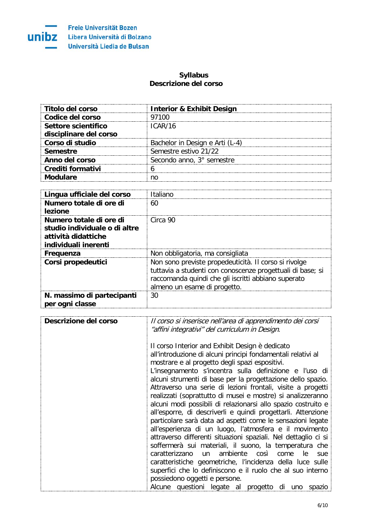

## **Syllabus Descrizione del corso**

<span id="page-5-0"></span>

| Titolo del corso       | <b>Interior &amp; Exhibit Design</b> |
|------------------------|--------------------------------------|
| Codice del corso       | 97100                                |
| Settore scientifico    | ICAR/16                              |
| disciplinare del corso |                                      |
| Corso di studio        | Bachelor in Design e Arti (L-4)      |
| <b>Semestre</b>        | Semestre estivo 21/22                |
| Anno del corso         | Secondo anno, 3° semestre            |
| Crediti formativi      |                                      |
| Andulare               |                                      |

| Lingua ufficiale del corso                                                                              | Italiano                                                                                                                                                                                                   |
|---------------------------------------------------------------------------------------------------------|------------------------------------------------------------------------------------------------------------------------------------------------------------------------------------------------------------|
| Numero totale di ore di<br>lezione                                                                      | 60                                                                                                                                                                                                         |
| Numero totale di ore di<br>studio individuale o di altre<br>attività didattiche<br>individuali inerenti | Circa 90                                                                                                                                                                                                   |
| Frequenza                                                                                               | Non obbligatoria, ma consigliata                                                                                                                                                                           |
| Corsi propedeutici                                                                                      | Non sono previste propedeuticità. Il corso si rivolge<br>tuttavia a studenti con conoscenze progettuali di base; si<br>raccomanda quindi che gli iscritti abbiano superato<br>almeno un esame di progetto. |
| N. massimo di partecipanti<br>per ogni classe                                                           | 30                                                                                                                                                                                                         |

| Descrizione del corso | Il corso si inserisce nell'area di apprendimento dei corsi<br>"affini integrativi" del curriculum in Design.                                                                                                                                                                                                                                                                                                                                                                                                                                                                                                                                                                                                                                                                                                                                                                                                                                                                                                                                                                               |
|-----------------------|--------------------------------------------------------------------------------------------------------------------------------------------------------------------------------------------------------------------------------------------------------------------------------------------------------------------------------------------------------------------------------------------------------------------------------------------------------------------------------------------------------------------------------------------------------------------------------------------------------------------------------------------------------------------------------------------------------------------------------------------------------------------------------------------------------------------------------------------------------------------------------------------------------------------------------------------------------------------------------------------------------------------------------------------------------------------------------------------|
|                       | Il corso Interior and Exhibit Design è dedicato<br>all'introduzione di alcuni principi fondamentali relativi al<br>mostrare e al progetto degli spazi espositivi.<br>L'insegnamento s'incentra sulla definizione e l'uso di<br>alcuni strumenti di base per la progettazione dello spazio.<br>Attraverso una serie di lezioni frontali, visite a progetti<br>realizzati (soprattutto di musei e mostre) si analizzeranno<br>alcuni modi possibili di relazionarsi allo spazio costruito e<br>all'esporre, di descriverli e quindi progettarli. Attenzione<br>particolare sarà data ad aspetti come le sensazioni legate<br>all'esperienza di un luogo, l'atmosfera e il movimento<br>attraverso differenti situazioni spaziali. Nel dettaglio ci si<br>soffermerà sui materiali, il suono, la temperatura che<br>caratterizzano un<br>ambiente così<br>come<br>le.<br>sue<br>caratteristiche geometriche, l'incidenza della luce sulle<br>superfici che lo definiscono e il ruolo che al suo interno<br>possiedono oggetti e persone.<br>Alcune questioni legate al progetto di uno spazio |
|                       |                                                                                                                                                                                                                                                                                                                                                                                                                                                                                                                                                                                                                                                                                                                                                                                                                                                                                                                                                                                                                                                                                            |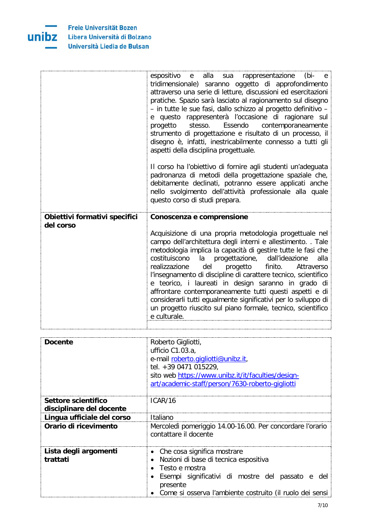

|                               | espositivo<br>sua rappresentazione<br>alla<br>(bi-<br>e —<br>e e<br>tridimensionale) saranno oggetto di approfondimento<br>attraverso una serie di letture, discussioni ed esercitazioni<br>pratiche. Spazio sarà lasciato al ragionamento sul disegno<br>- in tutte le sue fasi, dallo schizzo al progetto definitivo -<br>e questo rappresenterà l'occasione di ragionare sul<br>Essendo<br>contemporaneamente<br>progetto<br>stesso.<br>strumento di progettazione e risultato di un processo, il<br>disegno è, infatti, inestricabilmente connesso a tutti gli<br>aspetti della disciplina progettuale.<br>Il corso ha l'obiettivo di fornire agli studenti un'adeguata |
|-------------------------------|-----------------------------------------------------------------------------------------------------------------------------------------------------------------------------------------------------------------------------------------------------------------------------------------------------------------------------------------------------------------------------------------------------------------------------------------------------------------------------------------------------------------------------------------------------------------------------------------------------------------------------------------------------------------------------|
|                               | padronanza di metodi della progettazione spaziale che,<br>debitamente declinati, potranno essere applicati anche<br>nello svolgimento dell'attività professionale alla quale<br>questo corso di studi prepara.                                                                                                                                                                                                                                                                                                                                                                                                                                                              |
| Obiettivi formativi specifici | Conoscenza e comprensione                                                                                                                                                                                                                                                                                                                                                                                                                                                                                                                                                                                                                                                   |
| del corso                     | Acquisizione di una propria metodologia progettuale nel<br>campo dell'architettura degli interni e allestimento. . Tale<br>metodologia implica la capacità di gestire tutte le fasi che<br>costituiscono<br>la progettazione, dall'ideazione<br>alla<br>realizzazione<br>del<br>progetto<br>finito.<br>Attraverso<br>l'insegnamento di discipline di carattere tecnico, scientifico<br>e teorico, i laureati in design saranno in grado di<br>affrontare contemporaneamente tutti questi aspetti e di<br>considerarli tutti egualmente significativi per lo sviluppo di<br>un progetto riuscito sul piano formale, tecnico, scientifico<br>e culturale.                     |
|                               |                                                                                                                                                                                                                                                                                                                                                                                                                                                                                                                                                                                                                                                                             |

| <b>Docente</b>                                  | Roberto Gigliotti,<br>ufficio C1.03.a,<br>e-mail roberto.gigliotti@unibz.it,<br>tel. +39 0471 015229,<br>sito web https://www.unibz.it/it/faculties/design-<br>art/academic-staff/person/7630-roberto-gigliotti      |
|-------------------------------------------------|----------------------------------------------------------------------------------------------------------------------------------------------------------------------------------------------------------------------|
| Settore scientifico<br>disciplinare del docente | ICAR/16                                                                                                                                                                                                              |
| Lingua ufficiale del corso                      | Italiano                                                                                                                                                                                                             |
| Orario di ricevimento                           | Mercoledì pomeriggio 14.00-16.00. Per concordare l'orario<br>contattare il docente                                                                                                                                   |
| Lista degli argomenti<br>trattati               | • Che cosa significa mostrare<br>Nozioni di base di tecnica espositiva<br>Testo e mostra<br>Esempi significativi di mostre del passato e del<br>presente<br>Come si osserva l'ambiente costruito (il ruolo dei sensi |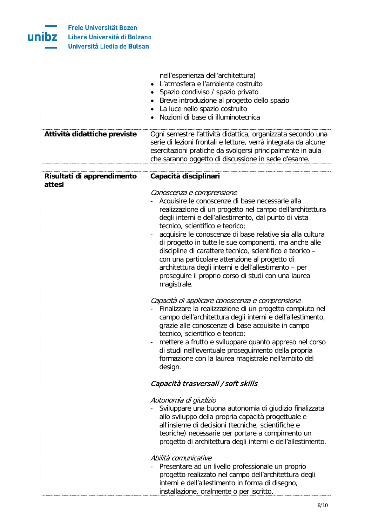

| Attività didattiche previste | nell'esperienza dell'architettura)<br>L'atmosfera e l'ambiente costruito<br>$\bullet$<br>Spazio condiviso / spazio privato<br>$\bullet$<br>Breve introduzione al progetto dello spazio<br>٠<br>La luce nello spazio costruito<br>$\bullet$<br>Nozioni di base di illuminotecnica<br>Ogni semestre l'attività didattica, organizzata secondo una<br>serie di lezioni frontali e letture, verrà integrata da alcune<br>esercitazioni pratiche da svolgersi principalmente in aula<br>che saranno oggetto di discussione in sede d'esame.                                                                |
|------------------------------|-------------------------------------------------------------------------------------------------------------------------------------------------------------------------------------------------------------------------------------------------------------------------------------------------------------------------------------------------------------------------------------------------------------------------------------------------------------------------------------------------------------------------------------------------------------------------------------------------------|
| Risultati di apprendimento   | Capacità disciplinari                                                                                                                                                                                                                                                                                                                                                                                                                                                                                                                                                                                 |
| attesi                       | Conoscenza e comprensione<br>Acquisire le conoscenze di base necessarie alla<br>realizzazione di un progetto nel campo dell'architettura<br>degli interni e dell'allestimento, dal punto di vista<br>tecnico, scientifico e teorico;<br>acquisire le conoscenze di base relative sia alla cultura<br>di progetto in tutte le sue componenti, ma anche alle<br>discipline di carattere tecnico, scientifico e teorico -<br>con una particolare attenzione al progetto di<br>architettura degli interni e dell'allestimento - per<br>proseguire il proprio corso di studi con una laurea<br>magistrale. |
|                              | Capacità di applicare conoscenza e comprensione<br>Finalizzare la realizzazione di un progetto compiuto nel<br>campo dell'architettura degli interni e dell'allestimento,<br>grazie alle conoscenze di base acquisite in campo<br>tecnico, scientifico e teorico;<br>mettere a frutto e sviluppare quanto appreso nel corso<br>di studi nell'eventuale proseguimento della propria<br>formazione con la laurea magistrale nell'ambito del<br>design.                                                                                                                                                  |
|                              | Capacità trasversali / soft skills                                                                                                                                                                                                                                                                                                                                                                                                                                                                                                                                                                    |
|                              | Autonomia di giudizio<br>Sviluppare una buona autonomia di giudizio finalizzata<br>allo sviluppo della propria capacità progettuale e<br>all'insieme di decisioni (tecniche, scientifiche e<br>teoriche) necessarie per portare a compimento un<br>progetto di architettura degli interni e dell'allestimento.                                                                                                                                                                                                                                                                                        |
|                              | Abilità comunicative<br>Presentare ad un livello professionale un proprio<br>progetto realizzato nel campo dell'architettura degli<br>interni e dell'allestimento in forma di disegno,<br>installazione, oralmente o per iscritto.                                                                                                                                                                                                                                                                                                                                                                    |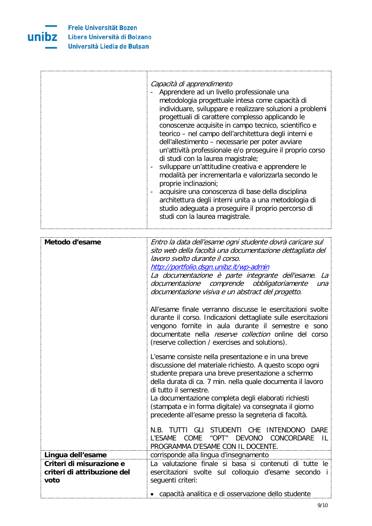

r

|                                                                 | Capacità di apprendimento<br>Apprendere ad un livello professionale una<br>metodologia progettuale intesa come capacità di<br>individuare, sviluppare e realizzare soluzioni a problemi<br>progettuali di carattere complesso applicando le<br>conoscenze acquisite in campo tecnico, scientifico e<br>teorico - nel campo dell'architettura degli interni e<br>dell'allestimento - necessarie per poter avviare<br>un'attività professionale e/o proseguire il proprio corso<br>di studi con la laurea magistrale;<br>sviluppare un'attitudine creativa e apprendere le<br>modalità per incrementarla e valorizzarla secondo le<br>proprie inclinazioni;<br>acquisire una conoscenza di base della disciplina<br>architettura degli interni unita a una metodologia di<br>studio adeguata a proseguire il proprio percorso di<br>studi con la laurea magistrale.                                                                                                                                                                                                                                                                                                                                                                                                              |
|-----------------------------------------------------------------|--------------------------------------------------------------------------------------------------------------------------------------------------------------------------------------------------------------------------------------------------------------------------------------------------------------------------------------------------------------------------------------------------------------------------------------------------------------------------------------------------------------------------------------------------------------------------------------------------------------------------------------------------------------------------------------------------------------------------------------------------------------------------------------------------------------------------------------------------------------------------------------------------------------------------------------------------------------------------------------------------------------------------------------------------------------------------------------------------------------------------------------------------------------------------------------------------------------------------------------------------------------------------------|
| Metodo d'esame                                                  | Entro la data dell'esame ogni studente dovrà caricare sul<br>sito web della facoltà una documentazione dettagliata del<br>lavoro svolto durante il corso.<br>http://portfolio.dsgn.unibz.it/wp-admin<br>La documentazione è parte integrante dell'esame. La<br>documentazione comprende obbligatoriamente<br>una<br>documentazione visiva e un abstract del progetto.<br>All'esame finale verranno discusse le esercitazioni svolte<br>durante il corso. Indicazioni dettagliate sulle esercitazioni<br>vengono fornite in aula durante il semestre e sono<br>documentate nella reserve collection online del corso<br>(reserve collection / exercises and solutions).<br>L'esame consiste nella presentazione e in una breve<br>discussione del materiale richiesto. A questo scopo ogni<br>studente prepara una breve presentazione a schermo<br>della durata di ca. 7 min. nella quale documenta il lavoro<br>di tutto il semestre.<br>La documentazione completa degli elaborati richiesti<br>(stampata e in forma digitale) va consegnata il giorno<br>precedente all'esame presso la segreteria di facoltà.<br>N.B. TUTTI GLI STUDENTI CHE INTENDONO DARE<br>"OPT"<br><b>COME</b><br><b>DEVONO</b><br>CONCORDARE<br>L'ESAME<br>- IL<br>PROGRAMMA D'ESAME CON IL DOCENTE. |
| Lingua dell'esame                                               | corrisponde alla lingua d'insegnamento                                                                                                                                                                                                                                                                                                                                                                                                                                                                                                                                                                                                                                                                                                                                                                                                                                                                                                                                                                                                                                                                                                                                                                                                                                         |
| Criteri di misurazione e<br>criteri di attribuzione del<br>voto | La valutazione finale si basa si contenuti di tutte le<br>esercitazioni svolte sul colloquio d'esame secondo i<br>seguenti criteri:<br>capacità analitica e di osservazione dello studente                                                                                                                                                                                                                                                                                                                                                                                                                                                                                                                                                                                                                                                                                                                                                                                                                                                                                                                                                                                                                                                                                     |

Ĩ.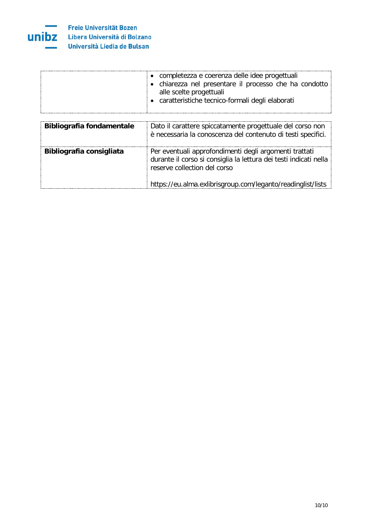

| Bibliografia fondamentale | Dato il carattere spiccatamente progettuale del corso non<br>è necessaria la conoscenza del contenuto di testi specifici.                                                                                                  |
|---------------------------|----------------------------------------------------------------------------------------------------------------------------------------------------------------------------------------------------------------------------|
| Bibliografia consigliata  | Per eventuali approfondimenti degli argomenti trattati<br>durante il corso si consiglia la lettura dei testi indicati nella<br>reserve collection del corso<br>https://eu.alma.exlibrisgroup.com/leganto/readinglist/lists |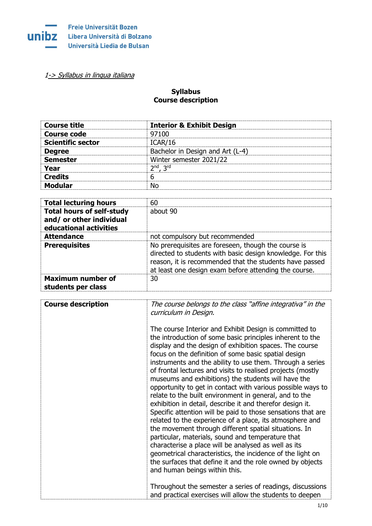

[1-> Syllabus in lingua italiana](#page-15-0)

## **Syllabus Course description**

| <b>Course title</b>      | <b>Interior &amp; Exhibit Design</b> |
|--------------------------|--------------------------------------|
| <b>Course code</b>       | 97100                                |
| <b>Scientific sector</b> | ICAR/16                              |
| <b>Degree</b>            | Bachelor in Design and Art (L-4)     |
| <b>Semester</b>          | Winter semester 2021/22              |
| Year                     | $2nd$ . $3rd$                        |
| <b>Credits</b>           | 6                                    |
| <b>Modular</b>           | N٥                                   |

| <b>Total lecturing hours</b>                                                           | 60                                                                                                                                                                                                                                    |
|----------------------------------------------------------------------------------------|---------------------------------------------------------------------------------------------------------------------------------------------------------------------------------------------------------------------------------------|
| <b>Total hours of self-study</b><br>and/ or other individual<br>educational activities | about 90                                                                                                                                                                                                                              |
| <b>Attendance</b>                                                                      | not compulsory but recommended                                                                                                                                                                                                        |
| <b>Prerequisites</b>                                                                   | No prerequisites are foreseen, though the course is<br>directed to students with basic design knowledge. For this<br>reason, it is recommended that the students have passed<br>at least one design exam before attending the course. |
| <b>Maximum number of</b><br>students per class                                         | 30                                                                                                                                                                                                                                    |

| <b>Course description</b> | The course belongs to the class "affine integrativa" in the<br>curriculum in Design.                                                                                                                                                                                                                                                                                                                                                                                                                                                                                                                                                                                                                                                                                                                                                                                                                                                                                                                                                                                          |
|---------------------------|-------------------------------------------------------------------------------------------------------------------------------------------------------------------------------------------------------------------------------------------------------------------------------------------------------------------------------------------------------------------------------------------------------------------------------------------------------------------------------------------------------------------------------------------------------------------------------------------------------------------------------------------------------------------------------------------------------------------------------------------------------------------------------------------------------------------------------------------------------------------------------------------------------------------------------------------------------------------------------------------------------------------------------------------------------------------------------|
|                           | The course Interior and Exhibit Design is committed to<br>the introduction of some basic principles inherent to the<br>display and the design of exhibition spaces. The course<br>focus on the definition of some basic spatial design<br>instruments and the ability to use them. Through a series<br>of frontal lectures and visits to realised projects (mostly<br>museums and exhibitions) the students will have the<br>opportunity to get in contact with various possible ways to<br>relate to the built environment in general, and to the<br>exhibition in detail, describe it and therefor design it.<br>Specific attention will be paid to those sensations that are<br>related to the experience of a place, its atmosphere and<br>the movement through different spatial situations. In<br>particular, materials, sound and temperature that<br>characterise a place will be analysed as well as its<br>geometrical characteristics, the incidence of the light on<br>the surfaces that define it and the role owned by objects<br>and human beings within this. |
|                           | Throughout the semester a series of readings, discussions<br>and practical exercises will allow the students to deepen                                                                                                                                                                                                                                                                                                                                                                                                                                                                                                                                                                                                                                                                                                                                                                                                                                                                                                                                                        |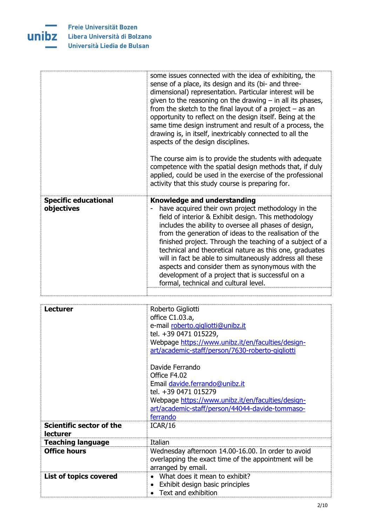

|                                             | some issues connected with the idea of exhibiting, the<br>sense of a place, its design and its (bi- and three-<br>dimensional) representation. Particular interest will be<br>given to the reasoning on the drawing $-$ in all its phases,<br>from the sketch to the final layout of a project $-$ as an<br>opportunity to reflect on the design itself. Being at the<br>same time design instrument and result of a process, the<br>drawing is, in itself, inextricably connected to all the<br>aspects of the design disciplines.<br>The course aim is to provide the students with adequate<br>competence with the spatial design methods that, if duly<br>applied, could be used in the exercise of the professional<br>activity that this study course is preparing for. |
|---------------------------------------------|-------------------------------------------------------------------------------------------------------------------------------------------------------------------------------------------------------------------------------------------------------------------------------------------------------------------------------------------------------------------------------------------------------------------------------------------------------------------------------------------------------------------------------------------------------------------------------------------------------------------------------------------------------------------------------------------------------------------------------------------------------------------------------|
| <b>Specific educational</b><br>objectives   | <b>Knowledge and understanding</b><br>have acquired their own project methodology in the<br>field of interior & Exhibit design. This methodology<br>includes the ability to oversee all phases of design,<br>from the generation of ideas to the realisation of the<br>finished project. Through the teaching of a subject of a<br>technical and theoretical nature as this one, graduates<br>will in fact be able to simultaneously address all these<br>aspects and consider them as synonymous with the<br>development of a project that is successful on a<br>formal, technical and cultural level.                                                                                                                                                                       |
| <b>Lecturer</b>                             | Roberto Gigliotti<br>office C1.03.a,<br>e-mail roberto.qiqliotti@unibz.it<br>tel. +39 0471 015229,<br>Webpage https://www.unibz.it/en/faculties/design-<br>art/academic-staff/person/7630-roberto-gigliotti<br>Davide Ferrando<br>Office F4.02<br>Email davide.ferrando@unibz.it<br>tel. +39 0471 015279<br>Webpage https://www.unibz.it/en/faculties/design-<br>art/academic-staff/person/44044-davide-tommaso-<br>ferrando                                                                                                                                                                                                                                                                                                                                                  |
| Scientific sector of the<br><b>lecturer</b> | ICAR/16                                                                                                                                                                                                                                                                                                                                                                                                                                                                                                                                                                                                                                                                                                                                                                       |
| <b>Teaching language</b>                    | Italian                                                                                                                                                                                                                                                                                                                                                                                                                                                                                                                                                                                                                                                                                                                                                                       |
| <b>Office hours</b>                         | Wednesday afternoon 14.00-16.00. In order to avoid<br>overlapping the exact time of the appointment will be<br>arranged by email.                                                                                                                                                                                                                                                                                                                                                                                                                                                                                                                                                                                                                                             |
| List of topics covered                      | What does it mean to exhibit?<br>$\bullet$<br>Exhibit design basic principles<br>$\bullet$<br>Text and exhibition                                                                                                                                                                                                                                                                                                                                                                                                                                                                                                                                                                                                                                                             |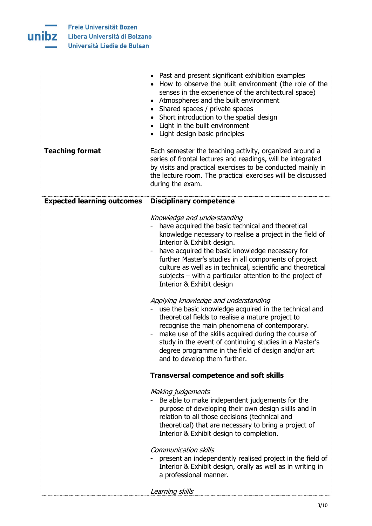

|                        | • Past and present significant exhibition examples<br>How to observe the built environment (the role of the<br>senses in the experience of the architectural space)<br>• Atmospheres and the built environment<br>Shared spaces / private spaces<br>• Short introduction to the spatial design<br>Light in the built environment<br>Light design basic principles |
|------------------------|-------------------------------------------------------------------------------------------------------------------------------------------------------------------------------------------------------------------------------------------------------------------------------------------------------------------------------------------------------------------|
| <b>Teaching format</b> | Each semester the teaching activity, organized around a<br>series of frontal lectures and readings, will be integrated<br>by visits and practical exercises to be conducted mainly in<br>the lecture room. The practical exercises will be discussed<br>during the exam.                                                                                          |

| <b>Expected learning outcomes</b> | <b>Disciplinary competence</b>                                                                                                                                                                                                                                                                                                                                                                                                                                     |
|-----------------------------------|--------------------------------------------------------------------------------------------------------------------------------------------------------------------------------------------------------------------------------------------------------------------------------------------------------------------------------------------------------------------------------------------------------------------------------------------------------------------|
|                                   | Knowledge and understanding<br>have acquired the basic technical and theoretical<br>knowledge necessary to realise a project in the field of<br>Interior & Exhibit design.<br>have acquired the basic knowledge necessary for<br>$\blacksquare$<br>further Master's studies in all components of project<br>culture as well as in technical, scientific and theoretical<br>subjects $-$ with a particular attention to the project of<br>Interior & Exhibit design |
|                                   | Applying knowledge and understanding<br>use the basic knowledge acquired in the technical and<br>theoretical fields to realise a mature project to<br>recognise the main phenomena of contemporary.<br>make use of the skills acquired during the course of<br>study in the event of continuing studies in a Master's<br>degree programme in the field of design and/or art<br>and to develop them further.                                                        |
|                                   | <b>Transversal competence and soft skills</b>                                                                                                                                                                                                                                                                                                                                                                                                                      |
|                                   | Making judgements<br>Be able to make independent judgements for the<br>purpose of developing their own design skills and in<br>relation to all those decisions (technical and<br>theoretical) that are necessary to bring a project of<br>Interior & Exhibit design to completion.                                                                                                                                                                                 |
|                                   | <b>Communication skills</b><br>present an independently realised project in the field of<br>Interior & Exhibit design, orally as well as in writing in<br>a professional manner.                                                                                                                                                                                                                                                                                   |
|                                   | Learning skills                                                                                                                                                                                                                                                                                                                                                                                                                                                    |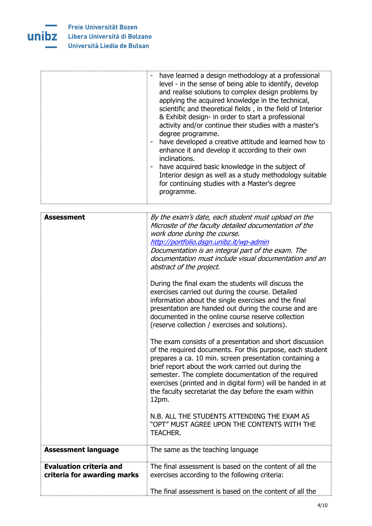

|                                | have learned a design methodology at a professional<br>level - in the sense of being able to identify, develop<br>and realise solutions to complex design problems by<br>applying the acquired knowledge in the technical,<br>scientific and theoretical fields, in the field of Interior<br>& Exhibit design- in order to start a professional<br>activity and/or continue their studies with a master's<br>degree programme.<br>have developed a creative attitude and learned how to<br>enhance it and develop it according to their own<br>inclinations.<br>have acquired basic knowledge in the subject of<br>Interior design as well as a study methodology suitable<br>for continuing studies with a Master's degree<br>programme.                                                                                                                                                                                                                                                                                                                                                                       |
|--------------------------------|-----------------------------------------------------------------------------------------------------------------------------------------------------------------------------------------------------------------------------------------------------------------------------------------------------------------------------------------------------------------------------------------------------------------------------------------------------------------------------------------------------------------------------------------------------------------------------------------------------------------------------------------------------------------------------------------------------------------------------------------------------------------------------------------------------------------------------------------------------------------------------------------------------------------------------------------------------------------------------------------------------------------------------------------------------------------------------------------------------------------|
|                                |                                                                                                                                                                                                                                                                                                                                                                                                                                                                                                                                                                                                                                                                                                                                                                                                                                                                                                                                                                                                                                                                                                                 |
| <b>Assessment</b>              | By the exam's date, each student must upload on the<br>Microsite of the faculty detailed documentation of the<br>work done during the course.<br>http://portfolio.dsgn.unibz.it/wp-admin<br>Documentation is an integral part of the exam. The<br>documentation must include visual documentation and an<br>abstract of the project.<br>During the final exam the students will discuss the<br>exercises carried out during the course. Detailed<br>information about the single exercises and the final<br>presentation are handed out during the course and are<br>documented in the online course reserve collection<br>(reserve collection / exercises and solutions).<br>The exam consists of a presentation and short discussion<br>of the required documents. For this purpose, each student<br>prepares a ca. 10 min. screen presentation containing a<br>brief report about the work carried out during the<br>semester. The complete documentation of the required<br>exercises (printed and in digital form) will be handed in at<br>the faculty secretariat the day before the exam within<br>12pm. |
|                                | N.B. ALL THE STUDENTS ATTENDING THE EXAM AS<br>"OPT" MUST AGREE UPON THE CONTENTS WITH THE                                                                                                                                                                                                                                                                                                                                                                                                                                                                                                                                                                                                                                                                                                                                                                                                                                                                                                                                                                                                                      |
|                                | <b>TEACHER.</b>                                                                                                                                                                                                                                                                                                                                                                                                                                                                                                                                                                                                                                                                                                                                                                                                                                                                                                                                                                                                                                                                                                 |
| <b>Assessment language</b>     | The same as the teaching language                                                                                                                                                                                                                                                                                                                                                                                                                                                                                                                                                                                                                                                                                                                                                                                                                                                                                                                                                                                                                                                                               |
| <b>Evaluation criteria and</b> | The final assessment is based on the content of all the                                                                                                                                                                                                                                                                                                                                                                                                                                                                                                                                                                                                                                                                                                                                                                                                                                                                                                                                                                                                                                                         |
| criteria for awarding marks    | exercises according to the following criteria:                                                                                                                                                                                                                                                                                                                                                                                                                                                                                                                                                                                                                                                                                                                                                                                                                                                                                                                                                                                                                                                                  |
|                                | The final assessment is based on the content of all the                                                                                                                                                                                                                                                                                                                                                                                                                                                                                                                                                                                                                                                                                                                                                                                                                                                                                                                                                                                                                                                         |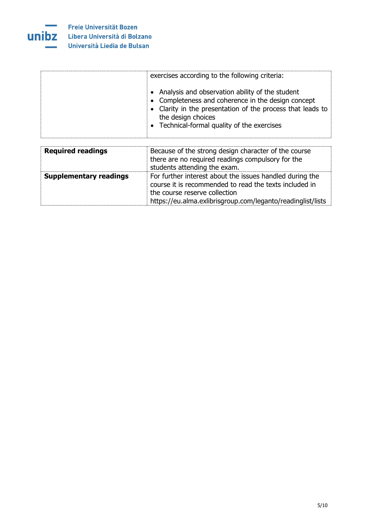

|                               | exercises according to the following criteria:<br>Analysis and observation ability of the student<br>Completeness and coherence in the design concept<br>Clarity in the presentation of the process that leads to<br>the design choices<br>• Technical-formal quality of the exercises |
|-------------------------------|----------------------------------------------------------------------------------------------------------------------------------------------------------------------------------------------------------------------------------------------------------------------------------------|
| <b>Required readings</b>      | Because of the strong design character of the course<br>there are no required readings compulsory for the<br>students attending the exam.                                                                                                                                              |
| <b>Supplementary readings</b> | For further interest about the issues handled during the<br>course it is recommended to read the texts included in<br>the course reserve collection<br>https://eu.alma.exlibrisgroup.com/leganto/readinglist/lists                                                                     |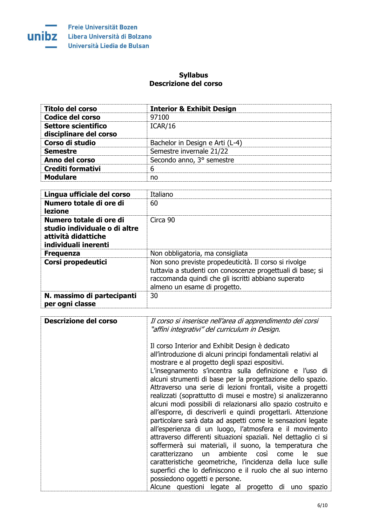

## **Syllabus Descrizione del corso**

<span id="page-15-0"></span>

| <b>Titolo del corso</b>  | <b>Interior &amp; Exhibit Design</b> |
|--------------------------|--------------------------------------|
| <b>Codice del corso</b>  | 97100                                |
| Settore scientifico      | ICAR/16                              |
| disciplinare del corso   |                                      |
| Corso di studio          | Bachelor in Design e Arti (L-4)      |
| <b>Semestre</b>          | Semestre invernale 21/22             |
| Anno del corso           | Secondo anno, 3° semestre            |
| <b>Crediti formativi</b> | 6                                    |
| <b>Modulare</b>          | no                                   |

| Lingua ufficiale del corso                                                                              | Italiano                                                                                                                                                                                                   |
|---------------------------------------------------------------------------------------------------------|------------------------------------------------------------------------------------------------------------------------------------------------------------------------------------------------------------|
| Numero totale di ore di<br>lezione                                                                      | 60                                                                                                                                                                                                         |
| Numero totale di ore di<br>studio individuale o di altre<br>attività didattiche<br>individuali inerenti | Circa 90                                                                                                                                                                                                   |
| <b>Frequenza</b>                                                                                        | Non obbligatoria, ma consigliata                                                                                                                                                                           |
| Corsi propedeutici                                                                                      | Non sono previste propedeuticità. Il corso si rivolge<br>tuttavia a studenti con conoscenze progettuali di base; si<br>raccomanda quindi che gli iscritti abbiano superato<br>almeno un esame di progetto. |
| N. massimo di partecipanti<br>per ogni classe                                                           | 30                                                                                                                                                                                                         |

| <b>Descrizione del corso</b> | Il corso si inserisce nell'area di apprendimento dei corsi<br>"affini integrativi" del curriculum in Design.                                                                                                                                                                                                                                                                                                                                                                                                                                                                                                                                                                                                                                                                                                                                                                                                                                     |
|------------------------------|--------------------------------------------------------------------------------------------------------------------------------------------------------------------------------------------------------------------------------------------------------------------------------------------------------------------------------------------------------------------------------------------------------------------------------------------------------------------------------------------------------------------------------------------------------------------------------------------------------------------------------------------------------------------------------------------------------------------------------------------------------------------------------------------------------------------------------------------------------------------------------------------------------------------------------------------------|
|                              | Il corso Interior and Exhibit Design è dedicato<br>all'introduzione di alcuni principi fondamentali relativi al<br>mostrare e al progetto degli spazi espositivi.<br>L'insegnamento s'incentra sulla definizione e l'uso di<br>alcuni strumenti di base per la progettazione dello spazio.<br>Attraverso una serie di lezioni frontali, visite a progetti<br>realizzati (soprattutto di musei e mostre) si analizzeranno<br>alcuni modi possibili di relazionarsi allo spazio costruito e<br>all'esporre, di descriverli e quindi progettarli. Attenzione<br>particolare sarà data ad aspetti come le sensazioni legate<br>all'esperienza di un luogo, l'atmosfera e il movimento<br>attraverso differenti situazioni spaziali. Nel dettaglio ci si<br>soffermerà sui materiali, il suono, la temperatura che<br>ambiente così<br>caratterizzano<br><u>un</u><br>come<br>le.<br>sue<br>caratteristiche geometriche, l'incidenza della luce sulle |
|                              | superfici che lo definiscono e il ruolo che al suo interno<br>possiedono oggetti e persone.                                                                                                                                                                                                                                                                                                                                                                                                                                                                                                                                                                                                                                                                                                                                                                                                                                                      |
|                              | Alcune questioni legate al progetto di<br>uno<br>spazio                                                                                                                                                                                                                                                                                                                                                                                                                                                                                                                                                                                                                                                                                                                                                                                                                                                                                          |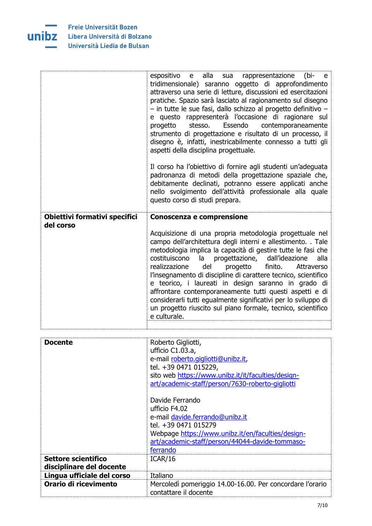

|                               | espositivo<br>alla<br>rappresentazione<br>(bi-<br>e a<br>sua<br>e e<br>tridimensionale) saranno oggetto di approfondimento<br>attraverso una serie di letture, discussioni ed esercitazioni<br>pratiche. Spazio sarà lasciato al ragionamento sul disegno<br>- in tutte le sue fasi, dallo schizzo al progetto definitivo -<br>e questo rappresenterà l'occasione di ragionare sul<br>stesso.<br>Essendo contemporaneamente<br>progetto<br>strumento di progettazione e risultato di un processo, il<br>disegno è, infatti, inestricabilmente connesso a tutti gli<br>aspetti della disciplina progettuale.<br>Il corso ha l'obiettivo di fornire agli studenti un'adeguata<br>padronanza di metodi della progettazione spaziale che,<br>debitamente declinati, potranno essere applicati anche<br>nello svolgimento dell'attività professionale alla quale<br>questo corso di studi prepara. |
|-------------------------------|-----------------------------------------------------------------------------------------------------------------------------------------------------------------------------------------------------------------------------------------------------------------------------------------------------------------------------------------------------------------------------------------------------------------------------------------------------------------------------------------------------------------------------------------------------------------------------------------------------------------------------------------------------------------------------------------------------------------------------------------------------------------------------------------------------------------------------------------------------------------------------------------------|
| Obiettivi formativi specifici | Conoscenza e comprensione                                                                                                                                                                                                                                                                                                                                                                                                                                                                                                                                                                                                                                                                                                                                                                                                                                                                     |
| del corso                     | Acquisizione di una propria metodologia progettuale nel<br>campo dell'architettura degli interni e allestimento. . Tale<br>metodologia implica la capacità di gestire tutte le fasi che<br>alla<br>costituiscono<br>la progettazione,<br>dall'ideazione<br>realizzazione<br>del<br>progetto<br>finito.<br>Attraverso<br>l'insegnamento di discipline di carattere tecnico, scientifico<br>e teorico, i laureati in design saranno in grado di<br>affrontare contemporaneamente tutti questi aspetti e di<br>considerarli tutti egualmente significativi per lo sviluppo di<br>un progetto riuscito sul piano formale, tecnico, scientifico<br>e culturale.                                                                                                                                                                                                                                    |
| <b>Docente</b>                |                                                                                                                                                                                                                                                                                                                                                                                                                                                                                                                                                                                                                                                                                                                                                                                                                                                                                               |
|                               | Roberto Gigliotti,<br>ufficio C1.03.a,<br>e-mail roberto.qiqliotti@unibz.it,<br>tel. +39 0471 015229,<br>sito web https://www.unibz.it/it/faculties/design-<br>art/academic-staff/person/7630-roberto-gigliotti                                                                                                                                                                                                                                                                                                                                                                                                                                                                                                                                                                                                                                                                               |
|                               | Davide Ferrando<br>ufficio F4.02                                                                                                                                                                                                                                                                                                                                                                                                                                                                                                                                                                                                                                                                                                                                                                                                                                                              |
|                               | e-mail davide.ferrando@unibz.it                                                                                                                                                                                                                                                                                                                                                                                                                                                                                                                                                                                                                                                                                                                                                                                                                                                               |
|                               | tel. +39 0471 015279<br>Webpage https://www.unibz.it/en/faculties/design-                                                                                                                                                                                                                                                                                                                                                                                                                                                                                                                                                                                                                                                                                                                                                                                                                     |
|                               | art/academic-staff/person/44044-davide-tommaso-                                                                                                                                                                                                                                                                                                                                                                                                                                                                                                                                                                                                                                                                                                                                                                                                                                               |
| Settore scientifico           | ferrando<br>ICAR/16                                                                                                                                                                                                                                                                                                                                                                                                                                                                                                                                                                                                                                                                                                                                                                                                                                                                           |
| disciplinare del docente      |                                                                                                                                                                                                                                                                                                                                                                                                                                                                                                                                                                                                                                                                                                                                                                                                                                                                                               |
| Lingua ufficiale del corso    | Italiano                                                                                                                                                                                                                                                                                                                                                                                                                                                                                                                                                                                                                                                                                                                                                                                                                                                                                      |
| Orario di ricevimento         | Mercoledì pomeriggio 14.00-16.00. Per concordare l'orario                                                                                                                                                                                                                                                                                                                                                                                                                                                                                                                                                                                                                                                                                                                                                                                                                                     |
|                               | contattare il docente                                                                                                                                                                                                                                                                                                                                                                                                                                                                                                                                                                                                                                                                                                                                                                                                                                                                         |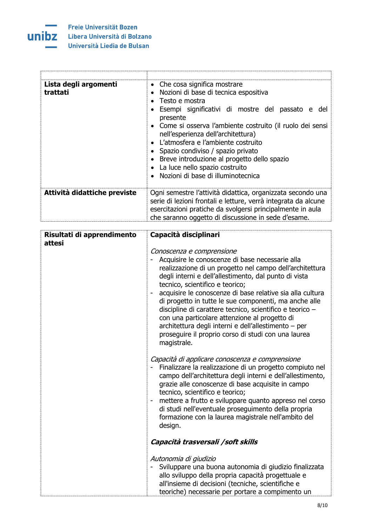

| Lista degli argomenti<br>trattati | • Che cosa significa mostrare<br>· Nozioni di base di tecnica espositiva<br>Testo e mostra<br>Esempi significativi di mostre del passato e<br>del<br>presente<br>• Come si osserva l'ambiente costruito (il ruolo dei sensi<br>nell'esperienza dell'architettura)<br>L'atmosfera e l'ambiente costruito<br>• Spazio condiviso / spazio privato<br>• Breve introduzione al progetto dello spazio<br>• La luce nello spazio costruito<br>Nozioni di base di illuminotecnica |
|-----------------------------------|---------------------------------------------------------------------------------------------------------------------------------------------------------------------------------------------------------------------------------------------------------------------------------------------------------------------------------------------------------------------------------------------------------------------------------------------------------------------------|
| Attività didattiche previste      | Ogni semestre l'attività didattica, organizzata secondo una<br>serie di lezioni frontali e letture, verrà integrata da alcune<br>esercitazioni pratiche da svolgersi principalmente in aula<br>che saranno oggetto di discussione in sede d'esame.                                                                                                                                                                                                                        |

| Risultati di apprendimento<br>attesi | Capacità disciplinari                                                                                                                                                                                                                                                                                                                                                                                                                                                                                                                                                                                 |
|--------------------------------------|-------------------------------------------------------------------------------------------------------------------------------------------------------------------------------------------------------------------------------------------------------------------------------------------------------------------------------------------------------------------------------------------------------------------------------------------------------------------------------------------------------------------------------------------------------------------------------------------------------|
|                                      | Conoscenza e comprensione<br>Acquisire le conoscenze di base necessarie alla<br>realizzazione di un progetto nel campo dell'architettura<br>degli interni e dell'allestimento, dal punto di vista<br>tecnico, scientifico e teorico;<br>acquisire le conoscenze di base relative sia alla cultura<br>di progetto in tutte le sue componenti, ma anche alle<br>discipline di carattere tecnico, scientifico e teorico -<br>con una particolare attenzione al progetto di<br>architettura degli interni e dell'allestimento - per<br>proseguire il proprio corso di studi con una laurea<br>magistrale. |
|                                      | Capacità di applicare conoscenza e comprensione<br>Finalizzare la realizzazione di un progetto compiuto nel<br>campo dell'architettura degli interni e dell'allestimento,<br>grazie alle conoscenze di base acquisite in campo<br>tecnico, scientifico e teorico;<br>mettere a frutto e sviluppare quanto appreso nel corso<br>di studi nell'eventuale proseguimento della propria<br>formazione con la laurea magistrale nell'ambito del<br>design.                                                                                                                                                  |
|                                      | Capacità trasversali /soft skills                                                                                                                                                                                                                                                                                                                                                                                                                                                                                                                                                                     |
|                                      | Autonomia di giudizio<br>Sviluppare una buona autonomia di giudizio finalizzata<br>allo sviluppo della propria capacità progettuale e<br>all'insieme di decisioni (tecniche, scientifiche e<br>teoriche) necessarie per portare a compimento un                                                                                                                                                                                                                                                                                                                                                       |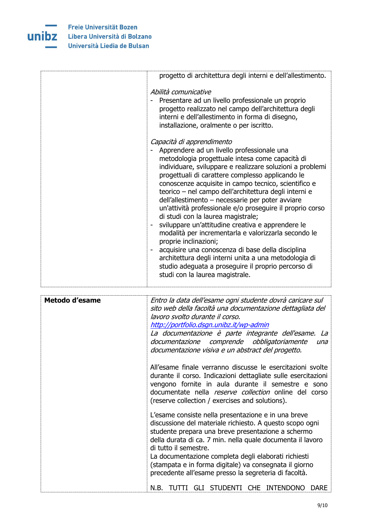

|                       | progetto di architettura degli interni e dell'allestimento.                                                                                                                                                                                                                                                                                                                                                                                                                                                                                                                                                                                                                                                                                                                                                                                                                         |
|-----------------------|-------------------------------------------------------------------------------------------------------------------------------------------------------------------------------------------------------------------------------------------------------------------------------------------------------------------------------------------------------------------------------------------------------------------------------------------------------------------------------------------------------------------------------------------------------------------------------------------------------------------------------------------------------------------------------------------------------------------------------------------------------------------------------------------------------------------------------------------------------------------------------------|
|                       | Abilità comunicative<br>Presentare ad un livello professionale un proprio<br>progetto realizzato nel campo dell'architettura degli<br>interni e dell'allestimento in forma di disegno,<br>installazione, oralmente o per iscritto.                                                                                                                                                                                                                                                                                                                                                                                                                                                                                                                                                                                                                                                  |
|                       | Capacità di apprendimento<br>Apprendere ad un livello professionale una<br>metodologia progettuale intesa come capacità di<br>individuare, sviluppare e realizzare soluzioni a problemi<br>progettuali di carattere complesso applicando le<br>conoscenze acquisite in campo tecnico, scientifico e<br>teorico - nel campo dell'architettura degli interni e<br>dell'allestimento - necessarie per poter avviare<br>un'attività professionale e/o proseguire il proprio corso<br>di studi con la laurea magistrale;<br>sviluppare un'attitudine creativa e apprendere le<br>$\blacksquare$<br>modalità per incrementarla e valorizzarla secondo le<br>proprie inclinazioni;<br>acquisire una conoscenza di base della disciplina<br>architettura degli interni unita a una metodologia di<br>studio adeguata a proseguire il proprio percorso di<br>studi con la laurea magistrale. |
| <b>Metodo d'esame</b> | Entro la data dell'esame ogni studente dovrà caricare sul<br>sito web della facoltà una documentazione dettagliata del<br>lavoro svolto durante il corso.<br>http://portfolio.dsgn.unibz.it/wp-admin<br>La documentazione è parte integrante dell'esame. La<br>documentazione comprende obbligatoriamente<br>una                                                                                                                                                                                                                                                                                                                                                                                                                                                                                                                                                                    |
|                       | documentazione visiva e un abstract del progetto.<br>All'esame finale verranno discusse le esercitazioni svolte<br>durante il corso. Indicazioni dettagliate sulle esercitazioni<br>vengono fornite in aula durante il semestre e sono<br>documentate nella reserve collection online del corso<br>(reserve collection / exercises and solutions).                                                                                                                                                                                                                                                                                                                                                                                                                                                                                                                                  |
|                       | L'esame consiste nella presentazione e in una breve<br>discussione del materiale richiesto. A questo scopo ogni<br>studente prepara una breve presentazione a schermo<br>della durata di ca. 7 min. nella quale documenta il lavoro<br>di tutto il semestre.<br>La documentazione completa degli elaborati richiesti<br>(stampata e in forma digitale) va consegnata il giorno<br>precedente all'esame presso la segreteria di facoltà.                                                                                                                                                                                                                                                                                                                                                                                                                                             |
|                       | TUTTI GLI STUDENTI CHE INTENDONO<br>N.B.<br><b>DARE</b>                                                                                                                                                                                                                                                                                                                                                                                                                                                                                                                                                                                                                                                                                                                                                                                                                             |